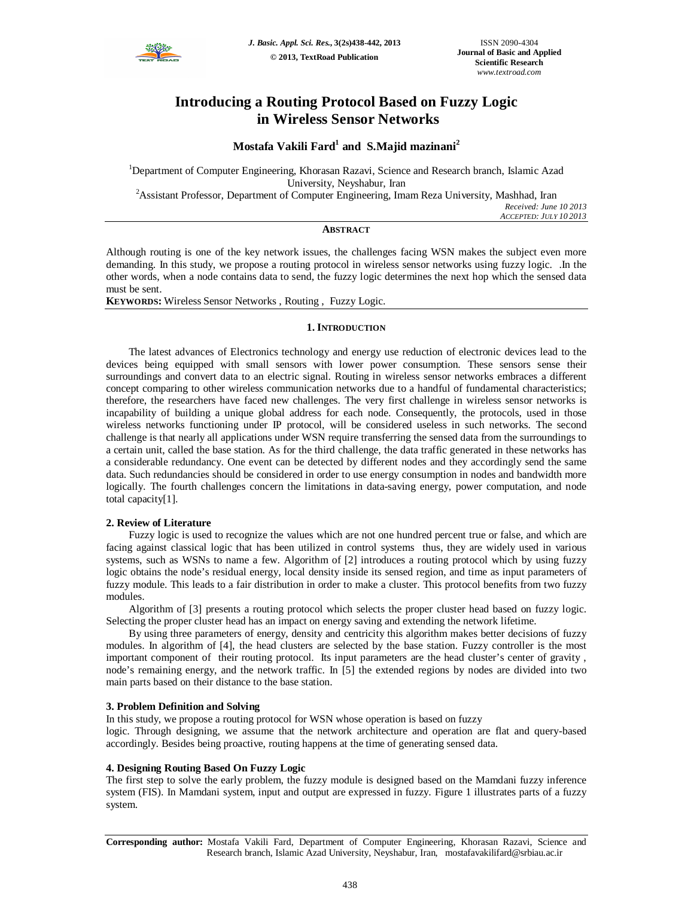

# **Introducing a Routing Protocol Based on Fuzzy Logic in Wireless Sensor Networks**

## **Mostafa Vakili Fard<sup>1</sup> and S.Majid mazinani<sup>2</sup>**

<sup>1</sup>Department of Computer Engineering, Khorasan Razavi, Science and Research branch, Islamic Azad University, Neyshabur, Iran

<sup>2</sup>Assistant Professor, Department of Computer Engineering, Imam Reza University, Mashhad, Iran

*Received: June 10 2013 ACCEPTED: JULY 10 2013*

## **ABSTRACT**

Although routing is one of the key network issues, the challenges facing WSN makes the subject even more demanding. In this study, we propose a routing protocol in wireless sensor networks using fuzzy logic. .In the other words, when a node contains data to send, the fuzzy logic determines the next hop which the sensed data must be sent.

**KEYWORDS:** Wireless Sensor Networks , Routing , Fuzzy Logic.

#### **1. INTRODUCTION**

The latest advances of Electronics technology and energy use reduction of electronic devices lead to the devices being equipped with small sensors with lower power consumption. These sensors sense their surroundings and convert data to an electric signal. Routing in wireless sensor networks embraces a different concept comparing to other wireless communication networks due to a handful of fundamental characteristics; therefore, the researchers have faced new challenges. The very first challenge in wireless sensor networks is incapability of building a unique global address for each node. Consequently, the protocols, used in those wireless networks functioning under IP protocol, will be considered useless in such networks. The second challenge is that nearly all applications under WSN require transferring the sensed data from the surroundings to a certain unit, called the base station. As for the third challenge, the data traffic generated in these networks has a considerable redundancy. One event can be detected by different nodes and they accordingly send the same data. Such redundancies should be considered in order to use energy consumption in nodes and bandwidth more logically. The fourth challenges concern the limitations in data-saving energy, power computation, and node total capacity[1].

#### **2. Review of Literature**

Fuzzy logic is used to recognize the values which are not one hundred percent true or false, and which are facing against classical logic that has been utilized in control systems thus, they are widely used in various systems, such as WSNs to name a few. Algorithm of [2] introduces a routing protocol which by using fuzzy logic obtains the node's residual energy, local density inside its sensed region, and time as input parameters of fuzzy module. This leads to a fair distribution in order to make a cluster. This protocol benefits from two fuzzy modules.

Algorithm of [3] presents a routing protocol which selects the proper cluster head based on fuzzy logic. Selecting the proper cluster head has an impact on energy saving and extending the network lifetime.

By using three parameters of energy, density and centricity this algorithm makes better decisions of fuzzy modules. In algorithm of [4], the head clusters are selected by the base station. Fuzzy controller is the most important component of their routing protocol. Its input parameters are the head cluster's center of gravity , node's remaining energy, and the network traffic. In [5] the extended regions by nodes are divided into two main parts based on their distance to the base station.

#### **3. Problem Definition and Solving**

In this study, we propose a routing protocol for WSN whose operation is based on fuzzy

logic. Through designing, we assume that the network architecture and operation are flat and query-based accordingly. Besides being proactive, routing happens at the time of generating sensed data.

#### **4. Designing Routing Based On Fuzzy Logic**

The first step to solve the early problem, the fuzzy module is designed based on the Mamdani fuzzy inference system (FIS). In Mamdani system, input and output are expressed in fuzzy. Figure 1 illustrates parts of a fuzzy system.

**Corresponding author:** Mostafa Vakili Fard, Department of Computer Engineering, Khorasan Razavi, Science and Research branch, Islamic Azad University, Neyshabur, Iran, mostafavakilifard@srbiau.ac.ir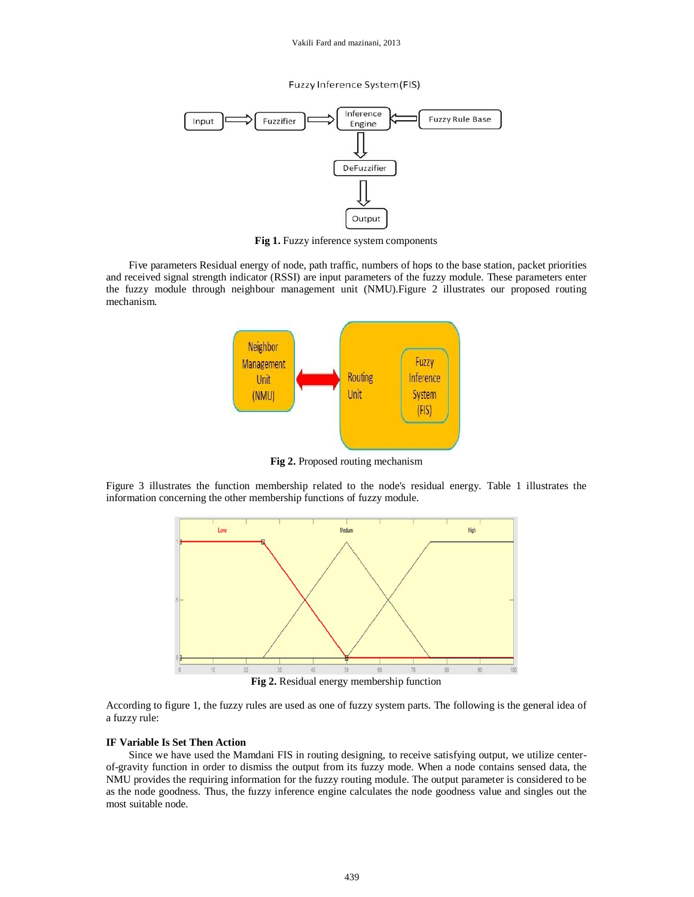Vakili Fard and mazinani, 2013

Fuzzy Inference System(FIS)



**Fig 1.** Fuzzy inference system components

Five parameters Residual energy of node, path traffic, numbers of hops to the base station, packet priorities and received signal strength indicator (RSSI) are input parameters of the fuzzy module. These parameters enter the fuzzy module through neighbour management unit (NMU).Figure 2 illustrates our proposed routing mechanism.



**Fig 2.** Proposed routing mechanism

Figure 3 illustrates the function membership related to the node's residual energy. Table 1 illustrates the information concerning the other membership functions of fuzzy module.



**Fig 2.** Residual energy membership function

According to figure 1, the fuzzy rules are used as one of fuzzy system parts. The following is the general idea of a fuzzy rule:

## **IF Variable Is Set Then Action**

Since we have used the Mamdani FIS in routing designing, to receive satisfying output, we utilize centerof-gravity function in order to dismiss the output from its fuzzy mode. When a node contains sensed data, the NMU provides the requiring information for the fuzzy routing module. The output parameter is considered to be as the node goodness. Thus, the fuzzy inference engine calculates the node goodness value and singles out the most suitable node.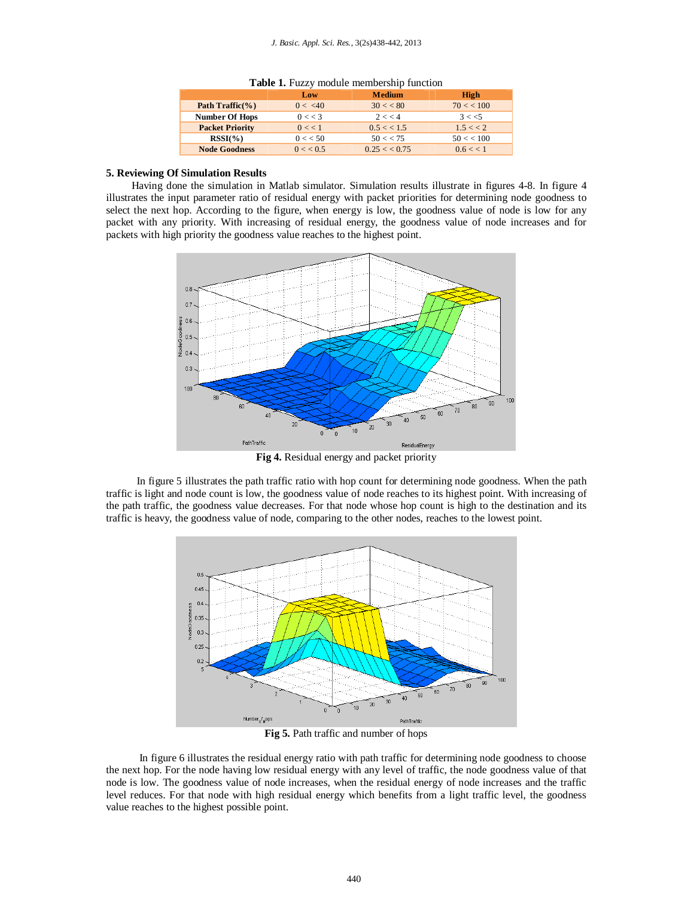|  |  |  | Table 1. Fuzzy module membership function |  |
|--|--|--|-------------------------------------------|--|
|--|--|--|-------------------------------------------|--|

|                        | Low     | <b>Medium</b>                  | High        |
|------------------------|---------|--------------------------------|-------------|
| Path Traffic $(\% )$   | 0 < 40  | $30 < \ 80$                    | 70 < 100    |
| <b>Number Of Hops</b>  | 0 << 3  | 2 < 4                          | 3 < 5       |
| <b>Packet Priority</b> | 0 < 1   | 0.5 < 1.5                      | 1.5 << 2    |
| $RSSI(\%)$             | 0 < 50  | 50 < 75                        | 50 < 100    |
| <b>Node Goodness</b>   | 0 < 0.5 | $0.25 < \frac{< 0.75}{< 0.75}$ | $0.6 \lt 1$ |

#### **5. Reviewing Of Simulation Results**

Having done the simulation in Matlab simulator. Simulation results illustrate in figures 4-8. In figure 4 illustrates the input parameter ratio of residual energy with packet priorities for determining node goodness to select the next hop. According to the figure, when energy is low, the goodness value of node is low for any packet with any priority. With increasing of residual energy, the goodness value of node increases and for packets with high priority the goodness value reaches to the highest point.



**Fig 4.** Residual energy and packet priority

 In figure 5 illustrates the path traffic ratio with hop count for determining node goodness. When the path traffic is light and node count is low, the goodness value of node reaches to its highest point. With increasing of the path traffic, the goodness value decreases. For that node whose hop count is high to the destination and its traffic is heavy, the goodness value of node, comparing to the other nodes, reaches to the lowest point.



**Fig 5.** Path traffic and number of hops

 In figure 6 illustrates the residual energy ratio with path traffic for determining node goodness to choose the next hop. For the node having low residual energy with any level of traffic, the node goodness value of that node is low. The goodness value of node increases, when the residual energy of node increases and the traffic level reduces. For that node with high residual energy which benefits from a light traffic level, the goodness value reaches to the highest possible point.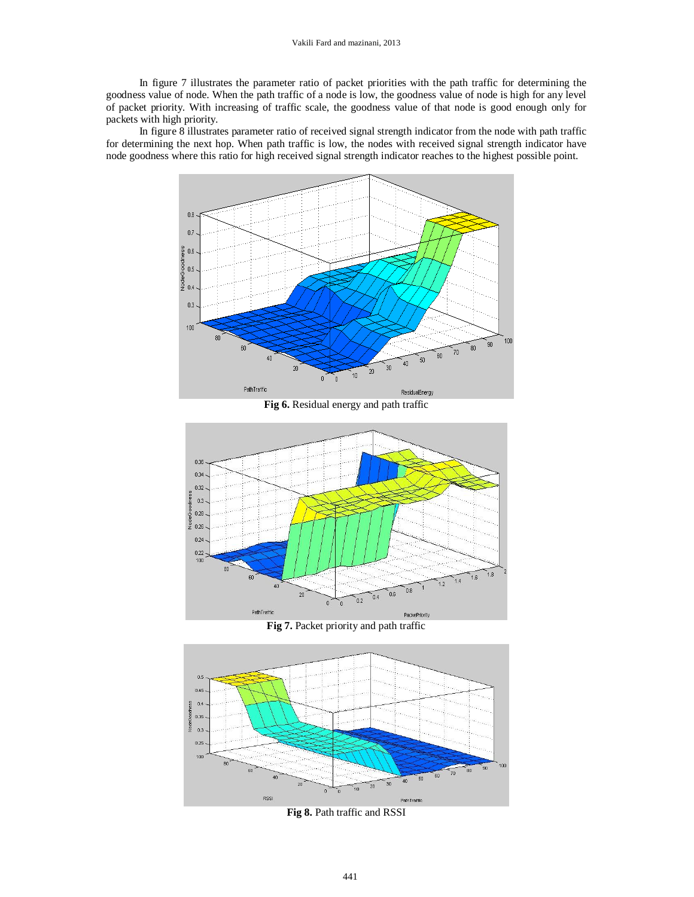In figure 7 illustrates the parameter ratio of packet priorities with the path traffic for determining the goodness value of node. When the path traffic of a node is low, the goodness value of node is high for any level of packet priority. With increasing of traffic scale, the goodness value of that node is good enough only for packets with high priority.

 In figure 8 illustrates parameter ratio of received signal strength indicator from the node with path traffic for determining the next hop. When path traffic is low, the nodes with received signal strength indicator have node goodness where this ratio for high received signal strength indicator reaches to the highest possible point.



**Fig 6.** Residual energy and path traffic







**Fig 8.** Path traffic and RSSI